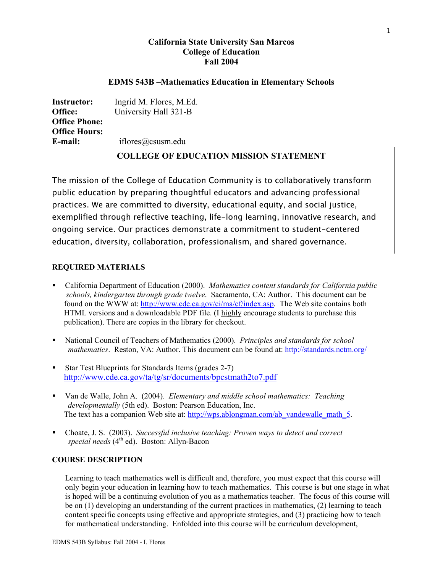## **California State University San Marcos College of Education Fall 2004**

## **EDMS 543B –Mathematics Education in Elementary Schools**

| <b>Instructor:</b>   | Ingrid M. Flores, M.Ed. |
|----------------------|-------------------------|
| Office:              | University Hall 321-B   |
| <b>Office Phone:</b> |                         |
| <b>Office Hours:</b> |                         |
| E-mail:              | iflores@csusm.edu       |

# **COLLEGE OF EDUCATION MISSION STATEMENT**

The mission of the College of Education Community is to collaboratively transform public education by preparing thoughtful educators and advancing professional practices. We are committed to diversity, educational equity, and social justice, exemplified through reflective teaching, life-long learning, innovative research, and ongoing service. Our practices demonstrate a commitment to student-centered education, diversity, collaboration, professionalism, and shared governance.

## **REQUIRED MATERIALS**

- California Department of Education (2000). *Mathematics content standards for California public schools, kindergarten through grade twelve*. Sacramento, CA: Author. This document can be found on the WWW at: http://www.cde.ca.gov/ci/ma/cf/index.asp. The Web site contains both HTML versions and a downloadable PDF file. (I highly encourage students to purchase this publication). There are copies in the library for checkout.
- National Council of Teachers of Mathematics (2000). *Principles and standards for school mathematics*. Reston, VA: Author. This document can be found at: http://standards.nctm.org/
- Star Test Blueprints for Standards Items (grades 2-7) http://www.cde.ca.gov/ta/tg/sr/documents/bpcstmath2to7.pdf
- Van de Walle, John A. (2004). *Elementary and middle school mathematics: Teaching developmentally* (5th ed). Boston: Pearson Education, Inc. The text has a companion Web site at: http://wps.ablongman.com/ab\_vandewalle\_math\_5.
- Choate, J. S. (2003). *Successful inclusive teaching: Proven ways to detect and correct special needs* (4th ed). Boston: Allyn-Bacon

## **COURSE DESCRIPTION**

Learning to teach mathematics well is difficult and, therefore, you must expect that this course will only begin your education in learning how to teach mathematics. This course is but one stage in what is hoped will be a continuing evolution of you as a mathematics teacher. The focus of this course will be on (1) developing an understanding of the current practices in mathematics, (2) learning to teach content specific concepts using effective and appropriate strategies, and (3) practicing how to teach for mathematical understanding. Enfolded into this course will be curriculum development,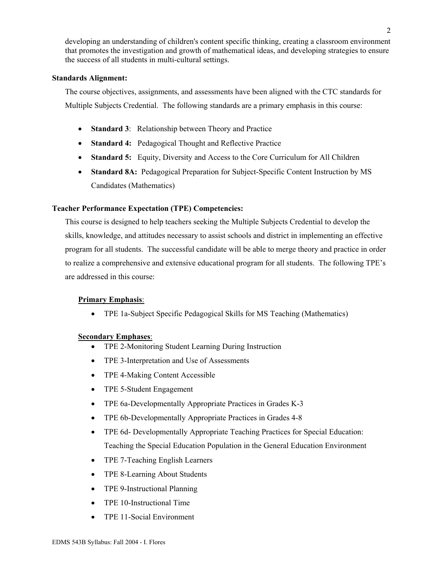developing an understanding of children's content specific thinking, creating a classroom environment that promotes the investigation and growth of mathematical ideas, and developing strategies to ensure the success of all students in multi-cultural settings.

## **Standards Alignment:**

The course objectives, assignments, and assessments have been aligned with the CTC standards for Multiple Subjects Credential. The following standards are a primary emphasis in this course:

- **Standard 3**: Relationship between Theory and Practice
- **Standard 4:** Pedagogical Thought and Reflective Practice
- **Standard 5:** Equity, Diversity and Access to the Core Curriculum for All Children
- **Standard 8A:** Pedagogical Preparation for Subject-Specific Content Instruction by MS Candidates (Mathematics)

## **Teacher Performance Expectation (TPE) Competencies:**

This course is designed to help teachers seeking the Multiple Subjects Credential to develop the skills, knowledge, and attitudes necessary to assist schools and district in implementing an effective program for all students. The successful candidate will be able to merge theory and practice in order to realize a comprehensive and extensive educational program for all students. The following TPE's are addressed in this course:

## **Primary Emphasis**:

• TPE 1a-Subject Specific Pedagogical Skills for MS Teaching (Mathematics)

## **Secondary Emphases**:

- TPE 2-Monitoring Student Learning During Instruction
- TPE 3-Interpretation and Use of Assessments
- TPE 4-Making Content Accessible
- TPE 5-Student Engagement
- TPE 6a-Developmentally Appropriate Practices in Grades K-3
- TPE 6b-Developmentally Appropriate Practices in Grades 4-8
- TPE 6d- Developmentally Appropriate Teaching Practices for Special Education: Teaching the Special Education Population in the General Education Environment
- TPE 7-Teaching English Learners
- TPE 8-Learning About Students
- TPE 9-Instructional Planning
- TPE 10-Instructional Time
- TPE 11-Social Environment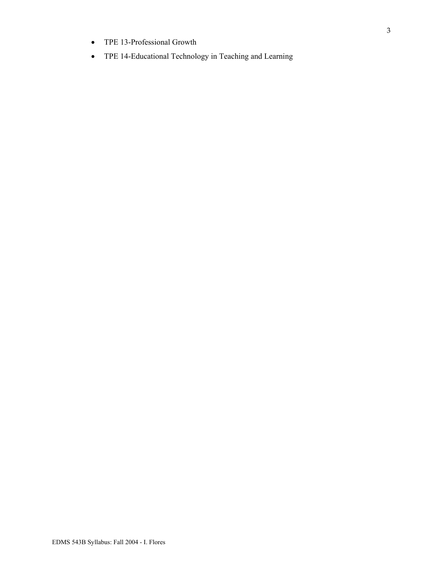- TPE 13-Professional Growth
- TPE 14-Educational Technology in Teaching and Learning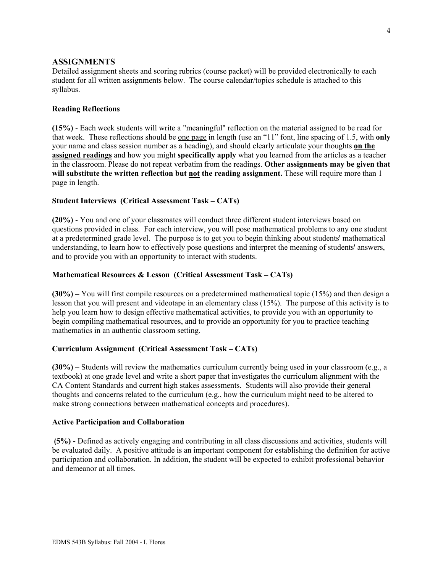### **ASSIGNMENTS**

Detailed assignment sheets and scoring rubrics (course packet) will be provided electronically to each student for all written assignments below. The course calendar/topics schedule is attached to this syllabus.

#### **Reading Reflections**

**(15%)** - Each week students will write a "meaningful" reflection on the material assigned to be read for that week. These reflections should be one page in length (use an "11" font, line spacing of 1.5, with **only**  your name and class session number as a heading), and should clearly articulate your thoughts **on the assigned readings** and how you might **specifically apply** what you learned from the articles as a teacher in the classroom. Please do not repeat verbatim from the readings. **Other assignments may be given that will substitute the written reflection but not the reading assignment.** These will require more than 1 page in length.

### **Student Interviews (Critical Assessment Task – CATs)**

**(20%)** - You and one of your classmates will conduct three different student interviews based on questions provided in class. For each interview, you will pose mathematical problems to any one student at a predetermined grade level. The purpose is to get you to begin thinking about students' mathematical understanding, to learn how to effectively pose questions and interpret the meaning of students' answers, and to provide you with an opportunity to interact with students.

### **Mathematical Resources & Lesson (Critical Assessment Task – CATs)**

**(30%) –** You will first compile resources on a predetermined mathematical topic (15%) and then design a lesson that you will present and videotape in an elementary class (15%). The purpose of this activity is to help you learn how to design effective mathematical activities, to provide you with an opportunity to begin compiling mathematical resources, and to provide an opportunity for you to practice teaching mathematics in an authentic classroom setting.

#### **Curriculum Assignment (Critical Assessment Task – CATs)**

**(30%) –** Students will review the mathematics curriculum currently being used in your classroom (e.g., a textbook) at one grade level and write a short paper that investigates the curriculum alignment with the CA Content Standards and current high stakes assessments. Students will also provide their general thoughts and concerns related to the curriculum (e.g., how the curriculum might need to be altered to make strong connections between mathematical concepts and procedures).

#### **Active Participation and Collaboration**

 **(5%) -** Defined as actively engaging and contributing in all class discussions and activities, students will be evaluated daily. A positive attitude is an important component for establishing the definition for active participation and collaboration. In addition, the student will be expected to exhibit professional behavior and demeanor at all times.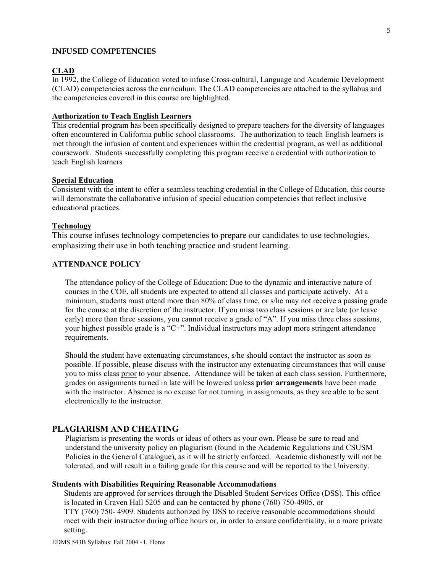#### **INFUSED COMPETENCIES**

## **CLAD**

In 1992, the College of Education voted to infuse Cross-cultural, Language and Academic Development (CLAD) competencies across the curriculum. The CLAD competencies are attached to the syllabus and the competencies covered in this course are highlighted.

#### **Authorization to Teach English Learners**

This credential program has been specifically designed to prepare teachers for the diversity of languages often encountered in California public school classrooms. The authorization to teach English learners is met through the infusion of content and experiences within the credential program, as well as additional coursework. Students successfully completing this program receive a credential with authorization to teach English learners

#### **Special Education**

Consistent with the intent to offer a seamless teaching credential in the College of Education, this course will demonstrate the collaborative infusion of special education competencies that reflect inclusive educational practices.

#### **Technology**

This course infuses technology competencies to prepare our candidates to use technologies, emphasizing their use in both teaching practice and student learning.

### **ATTENDANCE POLICY**

The attendance policy of the College of Education: Due to the dynamic and interactive nature of courses in the COE, all students are expected to attend all classes and participate actively. At a minimum, students must attend more than 80% of class time, or s/he may not receive a passing grade for the course at the discretion of the instructor. If you miss two class sessions or are late (or leave early) more than three sessions, you cannot receive a grade of "A". If you miss three class sessions, your highest possible grade is a "C+". Individual instructors may adopt more stringent attendance requirements.

Should the student have extenuating circumstances, s/he should contact the instructor as soon as possible. If possible, please discuss with the instructor any extenuating circumstances that will cause you to miss class prior to your absence. Attendance will be taken at each class session. Furthermore, grades on assignments turned in late will be lowered unless **prior arrangements** have been made with the instructor. Absence is no excuse for not turning in assignments, as they are able to be sent electronically to the instructor.

### **PLAGIARISM AND CHEATING**

Plagiarism is presenting the words or ideas of others as your own. Please be sure to read and understand the university policy on plagiarism (found in the Academic Regulations and CSUSM Policies in the General Catalogue), as it will be strictly enforced. Academic dishonestly will not be tolerated, and will result in a failing grade for this course and will be reported to the University.

### **Students with Disabilities Requiring Reasonable Accommodations**

 Students are approved for services through the Disabled Student Services Office (DSS). This office is located in Craven Hall 5205 and can be contacted by phone (760) 750-4905, or

 TTY (760) 750- 4909. Students authorized by DSS to receive reasonable accommodations should meet with their instructor during office hours or, in order to ensure confidentiality, in a more private setting.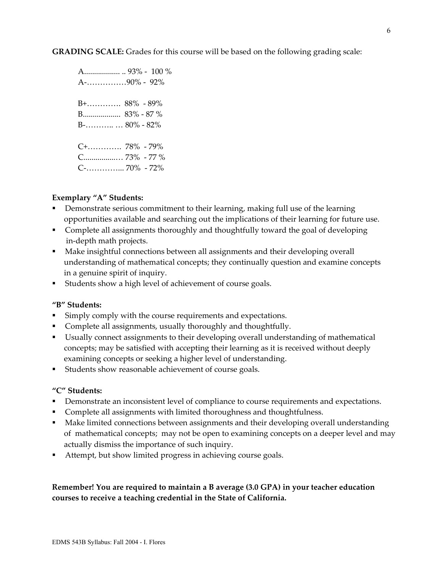**GRADING SCALE:** Grades for this course will be based on the following grading scale:

 A.................. .. 93% - 100 % A-……………90% - 92% B+…………. 88% - 89% B................... 83% - 87 % B-……….. … 80% - 82% C+…………. 78% - 79% C................… 73% - 77 % C-…………... 70% - 72%

## **Exemplary "A" Students:**

- Demonstrate serious commitment to their learning, making full use of the learning opportunities available and searching out the implications of their learning for future use.
- Complete all assignments thoroughly and thoughtfully toward the goal of developing in-depth math projects.
- Make insightful connections between all assignments and their developing overall understanding of mathematical concepts; they continually question and examine concepts in a genuine spirit of inquiry.
- Students show a high level of achievement of course goals.

## **"B" Students:**

- Simply comply with the course requirements and expectations.
- Complete all assignments, usually thoroughly and thoughtfully.
- Usually connect assignments to their developing overall understanding of mathematical concepts; may be satisfied with accepting their learning as it is received without deeply examining concepts or seeking a higher level of understanding.
- Students show reasonable achievement of course goals.

## **"C" Students:**

- **•** Demonstrate an inconsistent level of compliance to course requirements and expectations.
- **Complete all assignments with limited thoroughness and thoughtfulness.**
- Make limited connections between assignments and their developing overall understanding of mathematical concepts; may not be open to examining concepts on a deeper level and may actually dismiss the importance of such inquiry.
- Attempt, but show limited progress in achieving course goals.

**Remember! You are required to maintain a B average (3.0 GPA) in your teacher education courses to receive a teaching credential in the State of California.**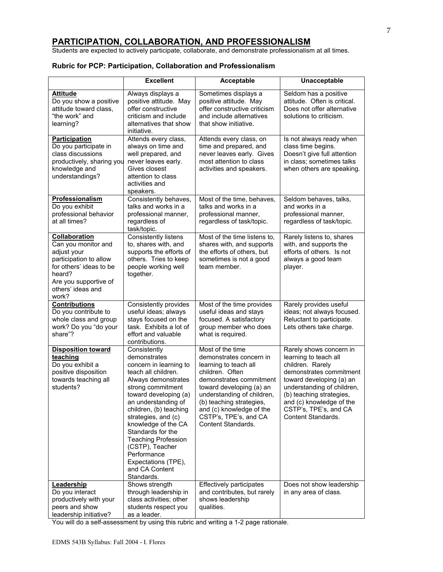## **PARTICIPATION, COLLABORATION, AND PROFESSIONALISM**

Students are expected to actively participate, collaborate, and demonstrate professionalism at all times.

## **Rubric for PCP: Participation, Collaboration and Professionalism**

|                                                                                                                                                                           | <b>Excellent</b>                                                                                                                                                                                                                                                                                                                                                                              | Acceptable                                                                                                                                                                                                                                                                                 | Unacceptable                                                                                                                                                                                                                                                            |
|---------------------------------------------------------------------------------------------------------------------------------------------------------------------------|-----------------------------------------------------------------------------------------------------------------------------------------------------------------------------------------------------------------------------------------------------------------------------------------------------------------------------------------------------------------------------------------------|--------------------------------------------------------------------------------------------------------------------------------------------------------------------------------------------------------------------------------------------------------------------------------------------|-------------------------------------------------------------------------------------------------------------------------------------------------------------------------------------------------------------------------------------------------------------------------|
| <b>Attitude</b><br>Do you show a positive<br>attitude toward class,<br>"the work" and<br>learning?                                                                        | Always displays a<br>positive attitude. May<br>offer constructive<br>criticism and include<br>alternatives that show<br>initiative.                                                                                                                                                                                                                                                           | Sometimes displays a<br>positive attitude. May<br>offer constructive criticism<br>and include alternatives<br>that show initiative.                                                                                                                                                        | Seldom has a positive<br>attitude. Often is critical.<br>Does not offer alternative<br>solutions to criticism.                                                                                                                                                          |
| Participation<br>Do you participate in<br>class discussions<br>productively, sharing you<br>knowledge and<br>understandings?                                              | Attends every class,<br>always on time and<br>well prepared, and<br>never leaves early.<br>Gives closest<br>attention to class<br>activities and<br>speakers.                                                                                                                                                                                                                                 | Attends every class, on<br>time and prepared, and<br>never leaves early. Gives<br>most attention to class<br>activities and speakers.                                                                                                                                                      | Is not always ready when<br>class time begins.<br>Doesn't give full attention<br>in class; sometimes talks<br>when others are speaking.                                                                                                                                 |
| <b>Professionalism</b><br>Do you exhibit<br>professional behavior<br>at all times?                                                                                        | Consistently behaves,<br>talks and works in a<br>professional manner,<br>regardless of<br>task/topic.                                                                                                                                                                                                                                                                                         | Most of the time, behaves,<br>talks and works in a<br>professional manner,<br>regardless of task/topic.                                                                                                                                                                                    | Seldom behaves, talks,<br>and works in a<br>professional manner,<br>regardless of task/topic.                                                                                                                                                                           |
| Collaboration<br>Can you monitor and<br>adjust your<br>participation to allow<br>for others' ideas to be<br>heard?<br>Are you supportive of<br>others' ideas and<br>work? | <b>Consistently listens</b><br>to, shares with, and<br>supports the efforts of<br>others. Tries to keep<br>people working well<br>together.                                                                                                                                                                                                                                                   | Most of the time listens to,<br>shares with, and supports<br>the efforts of others, but<br>sometimes is not a good<br>team member.                                                                                                                                                         | Rarely listens to, shares<br>with, and supports the<br>efforts of others. Is not<br>always a good team<br>player.                                                                                                                                                       |
| <b>Contributions</b><br>Do you contribute to<br>whole class and group<br>work? Do you "do your<br>share"?                                                                 | Consistently provides<br>useful ideas; always<br>stays focused on the<br>task. Exhibits a lot of<br>effort and valuable<br>contributions.                                                                                                                                                                                                                                                     | Most of the time provides<br>useful ideas and stays<br>focused. A satisfactory<br>group member who does<br>what is required.                                                                                                                                                               | Rarely provides useful<br>ideas; not always focused.<br>Reluctant to participate.<br>Lets others take charge.                                                                                                                                                           |
| <b>Disposition toward</b><br>teaching<br>Do you exhibit a<br>positive disposition<br>towards teaching all<br>students?                                                    | Consistently<br>demonstrates<br>concern in learning to<br>teach all children.<br>Always demonstrates<br>strong commitment<br>toward developing (a)<br>an understanding of<br>children, (b) teaching<br>strategies, and (c)<br>knowledge of the CA<br>Standards for the<br><b>Teaching Profession</b><br>(CSTP), Teacher<br>Performance<br>Expectations (TPE),<br>and CA Content<br>Standards. | Most of the time<br>demonstrates concern in<br>learning to teach all<br>children. Often<br>demonstrates commitment<br>toward developing (a) an<br>understanding of children,<br>(b) teaching strategies,<br>and (c) knowledge of the<br>CSTP's, TPE's, and CA<br><b>Content Standards.</b> | Rarely shows concern in<br>learning to teach all<br>children. Rarely<br>demonstrates commitment<br>toward developing (a) an<br>understanding of children,<br>(b) teaching strategies,<br>and (c) knowledge of the<br>CSTP's, TPE's, and CA<br><b>Content Standards.</b> |
| Leadership<br>Do you interact<br>productively with your<br>peers and show<br>leadership initiative?                                                                       | Shows strength<br>through leadership in<br>class activities; other<br>students respect you<br>as a leader.                                                                                                                                                                                                                                                                                    | Effectively participates<br>and contributes, but rarely<br>shows leadership<br>qualities.                                                                                                                                                                                                  | Does not show leadership<br>in any area of class.                                                                                                                                                                                                                       |

You will do a self-assessment by using this rubric and writing a 1-2 page rationale.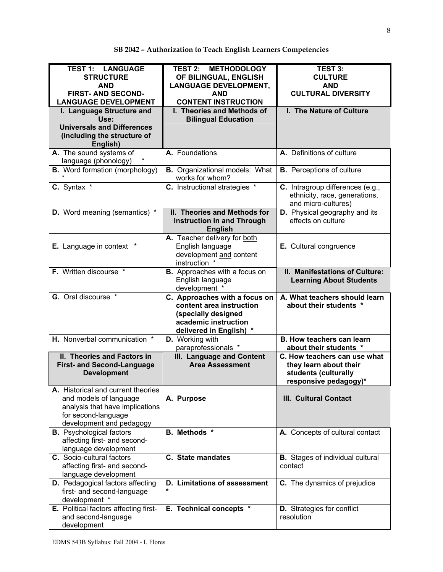| <b>TEST 1: LANGUAGE</b><br><b>STRUCTURE</b><br><b>AND</b><br><b>FIRST- AND SECOND-</b><br><b>LANGUAGE DEVELOPMENT</b>                              | <b>TEST 2:</b><br><b>METHODOLOGY</b><br>OF BILINGUAL, ENGLISH<br><b>LANGUAGE DEVELOPMENT,</b><br><b>AND</b><br><b>CONTENT INSTRUCTION</b> | <b>TEST 3:</b><br><b>CULTURE</b><br><b>AND</b><br><b>CULTURAL DIVERSITY</b>                             |
|----------------------------------------------------------------------------------------------------------------------------------------------------|-------------------------------------------------------------------------------------------------------------------------------------------|---------------------------------------------------------------------------------------------------------|
| I. Language Structure and<br>Use:<br><b>Universals and Differences</b><br>(including the structure of<br>English)                                  | I. Theories and Methods of<br><b>Bilingual Education</b>                                                                                  | I. The Nature of Culture                                                                                |
| A. The sound systems of<br>language (phonology)                                                                                                    | A. Foundations                                                                                                                            | A. Definitions of culture                                                                               |
| <b>B.</b> Word formation (morphology)                                                                                                              | <b>B.</b> Organizational models: What<br>works for whom?                                                                                  | <b>B.</b> Perceptions of culture                                                                        |
| C. Syntax *                                                                                                                                        | C. Instructional strategies *                                                                                                             | C. Intragroup differences (e.g.,<br>ethnicity, race, generations,<br>and micro-cultures)                |
| <b>D.</b> Word meaning (semantics) *                                                                                                               | II. Theories and Methods for<br><b>Instruction In and Through</b><br><b>English</b>                                                       | D. Physical geography and its<br>effects on culture                                                     |
| <b>E.</b> Language in context *                                                                                                                    | A. Teacher delivery for both<br>English language<br>development and content<br>instruction *                                              | E. Cultural congruence                                                                                  |
| F. Written discourse *                                                                                                                             | <b>B.</b> Approaches with a focus on<br>English language<br>development *                                                                 | II. Manifestations of Culture:<br><b>Learning About Students</b>                                        |
| <b>G.</b> Oral discourse *                                                                                                                         | C. Approaches with a focus on<br>content area instruction<br>(specially designed<br>academic instruction<br>delivered in English) *       | A. What teachers should learn<br>about their students *                                                 |
| H. Nonverbal communication *                                                                                                                       | D. Working with<br>paraprofessionals *                                                                                                    | <b>B. How teachers can learn</b><br>about their students *                                              |
| II. Theories and Factors in<br><b>First- and Second-Language</b><br><b>Development</b>                                                             | III. Language and Content<br><b>Area Assessment</b>                                                                                       | C. How teachers can use what<br>they learn about their<br>students (culturally<br>responsive pedagogy)* |
| A. Historical and current theories<br>and models of language<br>analysis that have implications<br>for second-language<br>development and pedagogy | A. Purpose                                                                                                                                | <b>III. Cultural Contact</b>                                                                            |
| <b>B.</b> Psychological factors<br>affecting first- and second-<br>language development                                                            | <b>B.</b> Methods *                                                                                                                       | A. Concepts of cultural contact                                                                         |
| C. Socio-cultural factors<br>affecting first- and second-<br>language development                                                                  | <b>C.</b> State mandates                                                                                                                  | <b>B.</b> Stages of individual cultural<br>contact                                                      |
| <b>D.</b> Pedagogical factors affecting<br>first- and second-language<br>development *                                                             | D. Limitations of assessment                                                                                                              | C. The dynamics of prejudice                                                                            |
| E. Political factors affecting first-<br>and second-language<br>development                                                                        | E. Technical concepts *                                                                                                                   | <b>D.</b> Strategies for conflict<br>resolution                                                         |

# **SB 2042 – Authorization to Teach English Learners Competencies**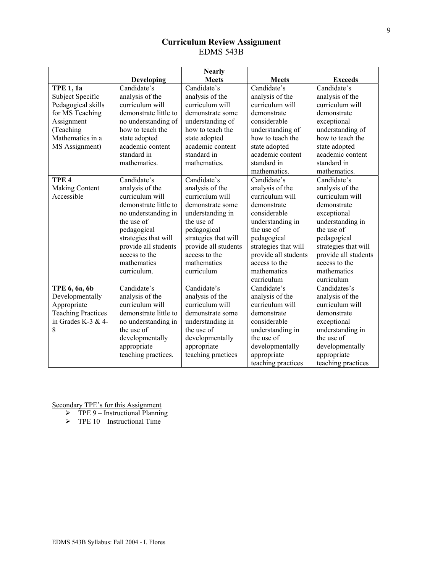## **Curriculum Review Assignment**  EDMS 543B

|                           |                                    | <b>Nearly</b>             |                                      |                      |
|---------------------------|------------------------------------|---------------------------|--------------------------------------|----------------------|
|                           | <b>Developing</b>                  | <b>Meets</b>              | <b>Meets</b>                         | <b>Exceeds</b>       |
| <b>TPE 1, 1a</b>          | Candidate's                        | Candidate's               | Candidate's                          | Candidate's          |
| Subject Specific          | analysis of the                    | analysis of the           | analysis of the                      | analysis of the      |
| Pedagogical skills        | curriculum will                    | curriculum will           | curriculum will<br>curriculum will   |                      |
| for MS Teaching           | demonstrate little to              | demonstrate some          | demonstrate                          | demonstrate          |
| Assignment                | no understanding of                | understanding of          | considerable                         | exceptional          |
| (Teaching                 | how to teach the                   | how to teach the          | understanding of                     | understanding of     |
| Mathematics in a          | state adopted                      | state adopted             | how to teach the                     | how to teach the     |
| MS Assignment)            | academic content                   | academic content          | state adopted                        | state adopted        |
|                           | standard in                        | standard in               | academic content                     | academic content     |
|                           | mathematics.                       | mathematics.              | standard in                          | standard in          |
|                           |                                    |                           | mathematics.                         | mathematics.         |
| TPE <sub>4</sub>          | Candidate's                        | Candidate's               | Candidate's                          | Candidate's          |
| Making Content            | analysis of the                    | analysis of the           | analysis of the                      | analysis of the      |
| Accessible                | curriculum will                    | curriculum will           | curriculum will                      | curriculum will      |
|                           | demonstrate little to              | demonstrate some          | demonstrate                          | demonstrate          |
|                           | no understanding in                | understanding in          | considerable                         | exceptional          |
|                           | the use of                         | the use of                | understanding in                     | understanding in     |
|                           | pedagogical                        | pedagogical               | the use of<br>the use of             |                      |
|                           | strategies that will               | strategies that will      | pedagogical<br>pedagogical           |                      |
|                           | provide all students               | provide all students      | strategies that will                 | strategies that will |
|                           | access to the                      | access to the             | provide all students                 | provide all students |
|                           | mathematics                        | mathematics               | access to the                        | access to the        |
|                           | curriculum.                        | curriculum<br>mathematics |                                      | mathematics          |
|                           |                                    |                           | curriculum                           | curriculum           |
| TPE 6, 6a, 6b             | Candidate's                        | Candidate's               | Candidate's                          | Candidates's         |
| Developmentally           | analysis of the                    | analysis of the           | analysis of the                      | analysis of the      |
| Appropriate               | curriculum will                    | curriculum will           | curriculum will<br>curriculum will   |                      |
| <b>Teaching Practices</b> | demonstrate little to              | demonstrate some          | demonstrate<br>demonstrate           |                      |
| in Grades K-3 & 4-        | no understanding in                | understanding in          | considerable<br>exceptional          |                      |
| 8                         | the use of                         | the use of                | understanding in<br>understanding in |                      |
|                           | developmentally<br>developmentally |                           | the use of                           | the use of           |
|                           | appropriate                        | appropriate               | developmentally                      | developmentally      |
|                           | teaching practices.                | teaching practices        | appropriate                          | appropriate          |
|                           |                                    |                           | teaching practices                   | teaching practices   |

- $\triangleright$  TPE 9 Instructional Planning
- $\triangleright$  TPE 10 Instructional Time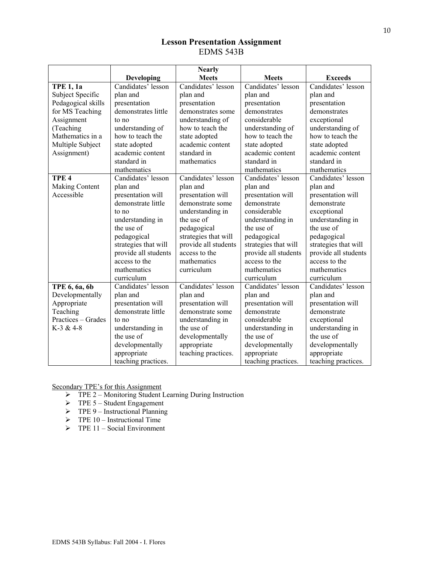# **Lesson Presentation Assignment**  EDMS 543B

|                    |                      | <b>Nearly</b>        |                            |                      |
|--------------------|----------------------|----------------------|----------------------------|----------------------|
|                    | Developing           | <b>Meets</b>         | <b>Meets</b>               | <b>Exceeds</b>       |
| <b>TPE 1, 1a</b>   | Candidates' lesson   | Candidates' lesson   | Candidates' lesson         | Candidates' lesson   |
| Subject Specific   | plan and             | plan and             | plan and                   | plan and             |
| Pedagogical skills | presentation         | presentation         | presentation               | presentation         |
| for MS Teaching    | demonstrates little  | demonstrates some    | demonstrates               | demonstrates         |
| Assignment         | to no                | understanding of     | considerable               | exceptional          |
| (Teaching          | understanding of     | how to teach the     | understanding of           | understanding of     |
| Mathematics in a   | how to teach the     | state adopted        | how to teach the           | how to teach the     |
| Multiple Subject   | state adopted        | academic content     | state adopted              | state adopted        |
| Assignment)        | academic content     | standard in          | academic content           | academic content     |
|                    | standard in          | mathematics          | standard in                | standard in          |
|                    | mathematics          |                      | mathematics                | mathematics          |
| TPE <sub>4</sub>   | Candidates' lesson   | Candidates' lesson   | Candidates' lesson         | Candidates' lesson   |
| Making Content     | plan and             | plan and             | plan and                   | plan and             |
| Accessible         | presentation will    | presentation will    | presentation will          | presentation will    |
|                    | demonstrate little   | demonstrate some     | demonstrate                | demonstrate          |
|                    | to no                | understanding in     | considerable               | exceptional          |
|                    | understanding in     | the use of           | understanding in           | understanding in     |
|                    | the use of           | pedagogical          | the use of                 | the use of           |
|                    | pedagogical          | strategies that will | pedagogical                | pedagogical          |
|                    | strategies that will | provide all students | strategies that will       | strategies that will |
|                    | provide all students | access to the        | provide all students       | provide all students |
|                    | access to the        | mathematics          | access to the              | access to the        |
|                    | mathematics          | curriculum           | mathematics                | mathematics          |
|                    | curriculum           |                      | curriculum                 | curriculum           |
| TPE 6, 6a, 6b      | Candidates' lesson   | Candidates' lesson   | Candidates' lesson         | Candidates' lesson   |
| Developmentally    | plan and             | plan and             | plan and                   | plan and             |
| Appropriate        | presentation will    | presentation will    | presentation will          | presentation will    |
| Teaching           | demonstrate little   | demonstrate some     | demonstrate<br>demonstrate |                      |
| Practices – Grades | to no                | understanding in     | considerable               | exceptional          |
| $K-3 & 4-8$        | understanding in     | the use of           | understanding in           | understanding in     |
|                    | the use of           | developmentally      | the use of                 | the use of           |
|                    | developmentally      | appropriate          | developmentally            | developmentally      |
|                    | appropriate          | teaching practices.  | appropriate                | appropriate          |
|                    | teaching practices.  |                      | teaching practices.        | teaching practices.  |

- ¾ TPE 2 Monitoring Student Learning During Instruction
- $\triangleright$  TPE 5 Student Engagement
- $\triangleright$  TPE 9 Instructional Planning
- $\triangleright$  TPE 10 Instructional Time
- $\triangleright$  TPE 11 Social Environment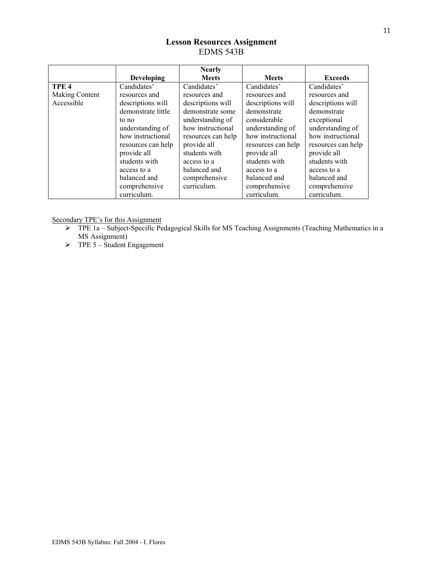# **Lesson Resources Assignment**  EDMS 543B

|                  |                    | <b>Nearly</b>      |                    |                    |
|------------------|--------------------|--------------------|--------------------|--------------------|
|                  | <b>Developing</b>  | <b>Meets</b>       | <b>Meets</b>       | <b>Exceeds</b>     |
| TPE <sub>4</sub> | Candidates'        | Candidates'        | Candidates'        | Candidates'        |
| Making Content   | resources and      | resources and      | resources and      | resources and      |
| Accessible       | descriptions will  | descriptions will  | descriptions will  | descriptions will  |
|                  | demonstrate little | demonstrate some   | demonstrate        | demonstrate        |
|                  | to no              | understanding of   | considerable       | exceptional        |
|                  | understanding of   | how instructional  | understanding of   | understanding of   |
|                  | how instructional  | resources can help | how instructional  | how instructional  |
|                  | resources can help | provide all        | resources can help | resources can help |
|                  | provide all        | students with      | provide all        | provide all        |
|                  | students with      | access to a        | students with      | students with      |
|                  | access to a        | balanced and       | access to a        | access to a        |
|                  | balanced and       | comprehensive      | balanced and       | balanced and       |
|                  | comprehensive      | curriculum.        | comprehensive      | comprehensive      |
|                  | curriculum.        |                    | curriculum.        | curriculum.        |

- ¾ TPE 1a Subject-Specific Pedagogical Skills for MS Teaching Assignments (Teaching Mathematics in a MS Assignment)
- $\triangleright$  TPE 5 Student Engagement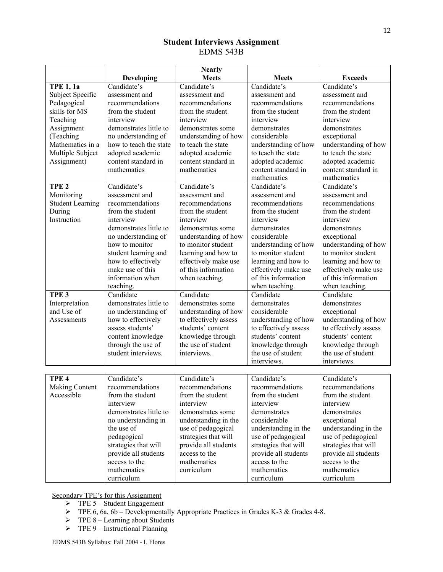# **Student Interviews Assignment**  EDMS 543B

|                         |                        | <b>Nearly</b>         |                       |                       |
|-------------------------|------------------------|-----------------------|-----------------------|-----------------------|
|                         | <b>Developing</b>      | <b>Meets</b>          | <b>Meets</b>          | <b>Exceeds</b>        |
| <b>TPE 1, 1a</b>        | Candidate's            | Candidate's           | Candidate's           | Candidate's           |
| Subject Specific        | assessment and         | assessment and        | assessment and        | assessment and        |
| Pedagogical             | recommendations        | recommendations       | recommendations       | recommendations       |
| skills for MS           | from the student       | from the student      | from the student      | from the student      |
| Teaching                | interview              | interview             | interview             | interview             |
| Assignment              | demonstrates little to | demonstrates some     | demonstrates          | demonstrates          |
| (Teaching               | no understanding of    | understanding of how  | considerable          | exceptional           |
| Mathematics in a        | how to teach the state | to teach the state    | understanding of how  | understanding of how  |
| Multiple Subject        | adopted academic       | adopted academic      | to teach the state    | to teach the state    |
| Assignment)             | content standard in    | content standard in   | adopted academic      | adopted academic      |
|                         | mathematics            | mathematics           | content standard in   | content standard in   |
|                         |                        |                       | mathematics           | mathematics           |
| TPE <sub>2</sub>        | Candidate's            | Candidate's           | Candidate's           | Candidate's           |
| Monitoring              | assessment and         | assessment and        | assessment and        | assessment and        |
| <b>Student Learning</b> | recommendations        | recommendations       | recommendations       | recommendations       |
| During                  | from the student       | from the student      | from the student      | from the student      |
| Instruction             | interview              | interview             | interview             | interview             |
|                         | demonstrates little to | demonstrates some     | demonstrates          | demonstrates          |
|                         | no understanding of    | understanding of how  | considerable          | exceptional           |
|                         | how to monitor         | to monitor student    | understanding of how  | understanding of how  |
|                         | student learning and   | learning and how to   | to monitor student    | to monitor student    |
|                         | how to effectively     | effectively make use  | learning and how to   | learning and how to   |
|                         | make use of this       | of this information   | effectively make use  | effectively make use  |
|                         | information when       | when teaching.        | of this information   | of this information   |
|                         | teaching.              |                       | when teaching.        | when teaching.        |
| TPE <sub>3</sub>        | Candidate              | Candidate             | Candidate             | Candidate             |
| Interpretation          | demonstrates little to | demonstrates some     | demonstrates          | demonstrates          |
| and Use of              | no understanding of    | understanding of how  | considerable          | exceptional           |
| Assessments             | how to effectively     | to effectively assess | understanding of how  | understanding of how  |
|                         | assess students'       | students' content     | to effectively assess | to effectively assess |
|                         | content knowledge      | knowledge through     | students' content     | students' content     |
|                         | through the use of     | the use of student    | knowledge through     | knowledge through     |
|                         | student interviews.    | interviews.           | the use of student    | the use of student    |
|                         |                        |                       | interviews.           | interviews.           |
|                         |                        |                       |                       |                       |
| TPE <sub>4</sub>        | Candidate's            | Candidate's           | Candidate's           | Candidate's           |
| <b>Making Content</b>   | recommendations        | recommendations       | recommendations       | recommendations       |
| Accessible              | from the student       | from the student      | from the student      | from the student      |
|                         | interview              | interview             | interview             | interview             |
|                         | demonstrates little to | demonstrates some     | demonstrates          | demonstrates          |
|                         | no understanding in    | understanding in the  | considerable          | exceptional           |
|                         | the use of             | use of pedagogical    | understanding in the  | understanding in the  |
|                         | pedagogical            | strategies that will  | use of pedagogical    | use of pedagogical    |
|                         | strategies that will   | provide all students  | strategies that will  | strategies that will  |
|                         | provide all students   | access to the         | provide all students  | provide all students  |
|                         | access to the          | mathematics           | access to the         | access to the         |
|                         | mathematics            | curriculum            | mathematics           | mathematics           |
|                         | curriculum             |                       | curriculum            | curriculum            |

- $\triangleright$  TPE 5 Student Engagement
- $\triangleright$  TPE 6, 6a, 6b Developmentally Appropriate Practices in Grades K-3 & Grades 4-8.
- $\triangleright$  TPE 8 Learning about Students
- $\triangleright$  TPE 9 Instructional Planning